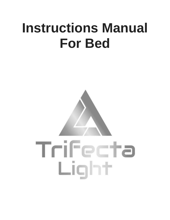# **Instructions Manual For Bed**

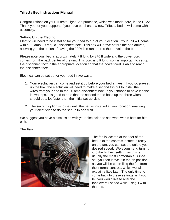## **Trifecta Bed Instructions Manual**

Congratulations on your Trifecta Light Bed purchase, which was made here, in the USA! Thank you for your support. If you have purchased a new Trifecta bed, it will come with assembly.

#### **Setting Up the Electric**

Electric will need to be installed for your bed to run at your location. Your unit will come with a 60 amp 220v quick disconnect box. This box will arrive before the bed arrives, allowing you the option of having the 220v line run prior to the arrival of the bed.

Please note your bed is approximately 7 ft long by 3 ½ ft wide and the power cord comes from the back center of the unit. This cord is 6 ft long, so it is important to set up the disconnect box in the appropriate location so that the power cord is able to reach the disconnect box.

Electrical can be set up for your bed in two ways:

- 1. Your electrician can come and set it up before your bed arrives. If you do pre-set up the box, the electrician will need to make a second trip out to install the 3 wires from your bed to the 60 amp disconnect box. If you choose to have it done in two trips, it is good to note that the second trip to hook up the three wires should be a lot faster than the initial set-up visit.
- 2. The second option is to wait until the bed is installed at your location, enabling your electrician to do the set up in one visit.

We suggest you have a discussion with your electrician to see what works best for him or her.

## **The Fan**



The fan is located at the foot of the bed. On the controls located directly on the fan, you can set the unit to your desired speed. We ecommend turning it to the highest setting, as this is usually the most comfortable. Once set, you can leave it in the on position, as you will be controlling the fan from the internal controls, which we will explain a little later. The only time to come back to these settings, is if you felt you would like to alter the fans overall speed while using it with the bed.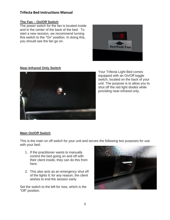# **Trifecta Bed Instructions Manual**

## **The Fan – On/Off Switch**

The power switch for the fan is located inside and in the center of the back of the bed. To start a new session, we recommend turning this switch to the "On" position. In doing this, you should see the fan go on.



#### **Near-Infrared Only Switch**



Your Trifecta Light Bed comes equipped with an On/Off toggle switch, located on the back of your unit. The purpose is to allow you to shut off the red light diodes while providing near-infrared only.

## **Main On/Off Switch**

This is the main on off switch for your unit and serves the following two purposes for use with your bed:

- 1. If the practitioner wants to manually control the bed going on and off with their client inside, they can do this from here.
- 2. This also acts as an emergency shut off of the lights if, for any reason, the client wishes to end the session early.

Set the switch to the left for now, which is the "Off" position.

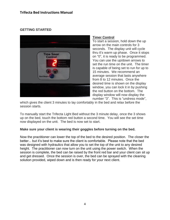# **GETTING STARTED**



## **Timer Control**

To start a session, hold down the up arrow on the main controls for 3 seconds. The display unit will cycle thru it's warm up phase. Once it stops on "0", it is ready to be programmed. You can use the up/down arrows to set the run time on the unit. The timer is capable of being set to run for up to 15 minutes. We recommend an average session that lasts anywhere from 8 to 12 minutes. Once the desired time is shown on the display window, you can lock it in by pushing the red button on the bottom. The display window will now display the number "3". This is "undress mode",

which gives the client 3 minutes to lay comfortably in the bed and relax before the session starts.

To manually start the Trifecta Light Bed without the 3 minute delay, once the 3 shows up on the bed, touch the bottom red button a second time. You will see the set time now displayed on the unit. The bed is now set to start.

#### **Make sure your client is wearing their goggles before turning on the bed.**

Now the practitioner can lower the top of the bed to the desired position. The closer the better... but it's best to make sure the client is comfortable. Please note that the bed was designed with hydraulics that allow you to set the top of the unit to any desired height. The practitioner can now turn on the unit using the power switch. When the session is complete, the bed can be raised by the front red bar and your client can sit up and get dressed. Once the session is over, the bed can be sprayed with the cleaning solution provided, wiped down and is then ready for your next client.